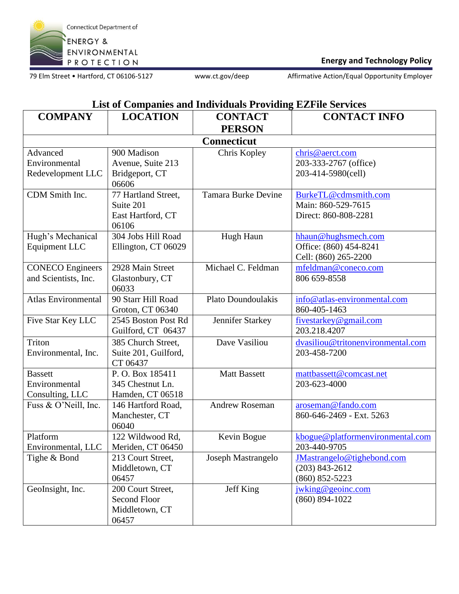

## **Energy and Technology Policy**

79 Elm Street • Hartford, CT 06106-5127 www.ct.gov/deep Affirmative Action/Equal Opportunity Employer

## **List of Companies and Individuals Providing EZFile Services**

| <b>COMPANY</b>                         | <b>LOCATION</b>             | <b>CONTACT</b>             | <b>CONTACT INFO</b>               |  |
|----------------------------------------|-----------------------------|----------------------------|-----------------------------------|--|
|                                        |                             | <b>PERSON</b>              |                                   |  |
| <b>Connecticut</b>                     |                             |                            |                                   |  |
| Advanced                               | 900 Madison                 | Chris Kopley               | chris@aerct.com                   |  |
| Environmental                          | Avenue, Suite 213           |                            | 203-333-2767 (office)             |  |
| Redevelopment LLC                      | Bridgeport, CT              |                            | 203-414-5980(cell)                |  |
|                                        | 06606                       |                            |                                   |  |
| CDM Smith Inc.                         | 77 Hartland Street,         | <b>Tamara Burke Devine</b> | BurkeTL@cdmsmith.com              |  |
|                                        | Suite 201                   |                            | Main: 860-529-7615                |  |
|                                        | East Hartford, CT           |                            | Direct: 860-808-2281              |  |
|                                        | 06106                       |                            |                                   |  |
| Hugh's Mechanical                      | 304 Jobs Hill Road          | Hugh Haun                  | hhaun@hughsmech.com               |  |
| Equipment LLC                          | Ellington, CT 06029         |                            | Office: (860) 454-8241            |  |
|                                        |                             |                            | Cell: (860) 265-2200              |  |
| <b>CONECO</b> Engineers                | 2928 Main Street            | Michael C. Feldman         | mfeldman@coneco.com               |  |
| and Scientists, Inc.                   | Glastonbury, CT             |                            | 806 659-8558                      |  |
| <b>Atlas Environmental</b>             | 06033<br>90 Starr Hill Road | Plato Doundoulakis         | info@atlas-environmental.com      |  |
|                                        | Groton, CT 06340            |                            | 860-405-1463                      |  |
| Five Star Key LLC                      | 2545 Boston Post Rd         | Jennifer Starkey           | fivestarkey@gmail.com             |  |
|                                        | Guilford, CT 06437          |                            | 203.218.4207                      |  |
| Triton                                 | 385 Church Street,          | Dave Vasiliou              | dvasiliou@tritonenvironmental.com |  |
| Environmental, Inc.                    | Suite 201, Guilford,        |                            | 203-458-7200                      |  |
|                                        | CT 06437                    |                            |                                   |  |
| <b>Bassett</b>                         | P.O. Box 185411             | <b>Matt Bassett</b>        | mattbassett@comcast.net           |  |
| Environmental                          | 345 Chestnut Ln.            |                            | 203-623-4000                      |  |
| Consulting, LLC                        | Hamden, CT 06518            |                            |                                   |  |
| Fuss & O'Neill, Inc.                   | 146 Hartford Road,          | <b>Andrew Roseman</b>      | aroseman@fando.com                |  |
|                                        | Manchester, CT              |                            | 860-646-2469 - Ext. 5263          |  |
|                                        | 06040                       |                            |                                   |  |
| Platform                               | 122 Wildwood Rd,            | Kevin Bogue                | kbogue@platformenvironmental.com  |  |
| Environmental, LLC   Meriden, CT 06450 |                             |                            | 203-440-9705                      |  |
| Tighe & Bond                           | 213 Court Street,           | Joseph Mastrangelo         | JMastrangelo@tighebond.com        |  |
|                                        | Middletown, CT              |                            | $(203)$ 843-2612                  |  |
|                                        | 06457                       |                            | $(860) 852 - 5223$                |  |
| GeoInsight, Inc.                       | 200 Court Street,           | Jeff King                  | jwking@geoinc.com                 |  |
|                                        | Second Floor                |                            | $(860) 894 - 1022$                |  |
|                                        | Middletown, CT              |                            |                                   |  |
|                                        | 06457                       |                            |                                   |  |